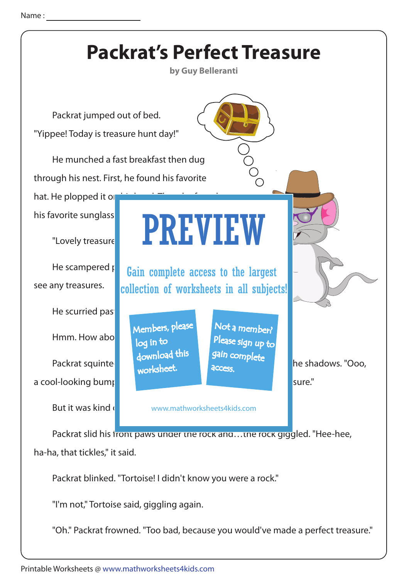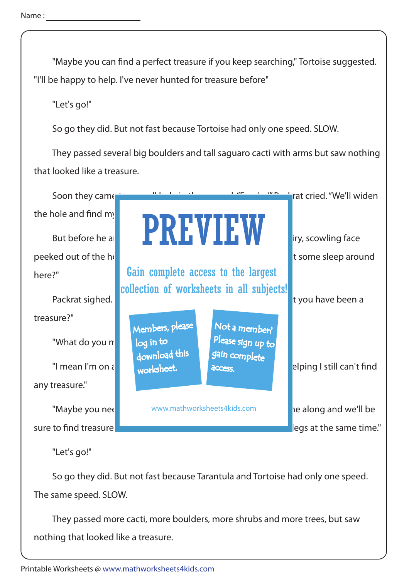"Maybe you can find a perfect treasure if you keep searching," Tortoise suggested. "I'll be happy to help. I've never hunted for treasure before"

"Let's go!"

So go they did. But not fast because Tortoise had only one speed. SLOW.

 They passed several big boulders and tall saguaro cacti with arms but saw nothing that looked like a treasure.



"Let's go!"

 So go they did. But not fast because Tarantula and Tortoise had only one speed. The same speed. SLOW.

 They passed more cacti, more boulders, more shrubs and more trees, but saw nothing that looked like a treasure.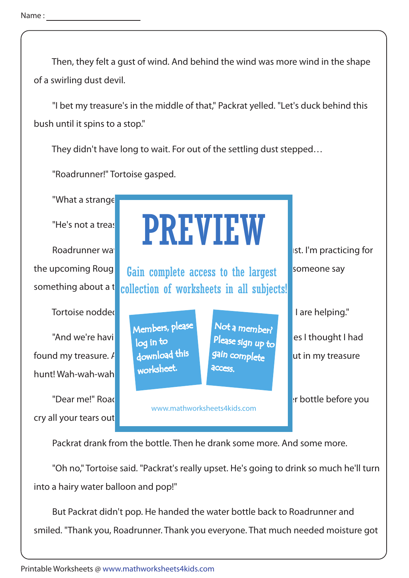Then, they felt a gust of wind. And behind the wind was more wind in the shape of a swirling dust devil.

 "I bet my treasure's in the middle of that," Packrat yelled. "Let's duck behind this bush until it spins to a stop."

They didn't have long to wait. For out of the settling dust stepped…

"Roadrunner!" Tortoise gasped.

"What a strange

something about a  $t$ 

hunt! Wah-wah-wah

cry all your tears out



Packrat drank from the bottle. Then he drank some more. And some more.

 "Oh no," Tortoise said. "Packrat's really upset. He's going to drink so much he'll turn into a hairy water balloon and pop!"

 But Packrat didn't pop. He handed the water bottle back to Roadrunner and smiled. "Thank you, Roadrunner. Thank you everyone. That much needed moisture got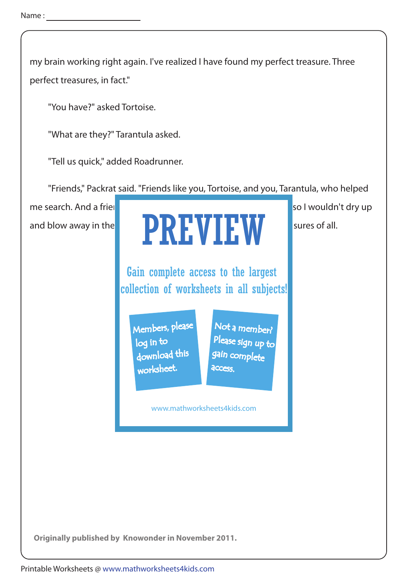my brain working right again. I've realized I have found my perfect treasure. Three perfect treasures, in fact."

"You have?" asked Tortoise.

"What are they?" Tarantula asked.

"Tell us quick," added Roadrunner.

"Friends," Packrat said. "Friends like you, Tortoise, and you, Tarantula, who helped

me search. And a friend like you, Roadrunner, who gave me water so I wouldn't dry up and blow away in the wind. Friends like  $\blacksquare$  wind. Friends like you three are three are three are three are t

PREVIEW Gain complete access to the largest collection of worksheets in all subjects!

Members, please download this worksheet. log in to

Not a member? gain complete Please sign up to **access** 

www.mathworksheets4kids.com

**Originally published by Knowonder in November 2011.**

Printable Worksheets @ www.mathworksheets4kids.com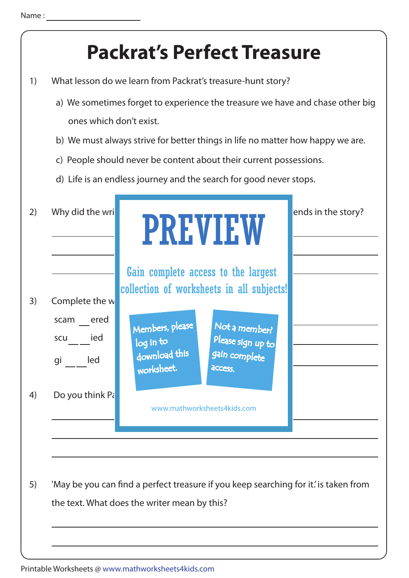## 2) Why did the writer specially choose to introduce the three friends in the story? 1) What lesson do we learn from Packrat's treasure-hunt story? a) We sometimes forget to experience the treasure we have and chase other big ones which don't exist. c) People should never be content about their current possessions. d) Life is an endless journey and the search for good never stops. b) We must always strive for better things in life no matter how happy we are. 5) 'May be you can find a perfect treasure if you keep searching for it.' is taken from the text. What does the writer mean by this? 4) Do you think  $P_{\zeta}$ 3) Complete the w scam ered gi led scu ied **- - - Packrat's Perfect Treasure** PREVIEW www.mathworksheets4kids.com Members, please download this worksheet. log in to Not a member? gain complete Please sign up to **access** Gain complete access to the largest collection of worksheets in all subjects!